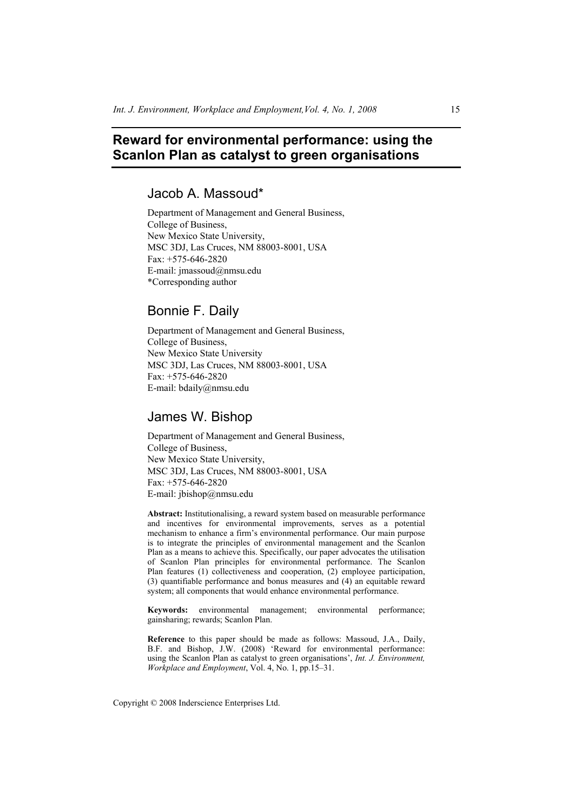# **Reward for environmental performance: using the Scanlon Plan as catalyst to green organisations**

# Jacob A. Massoud\*

Department of Management and General Business, College of Business, New Mexico State University, MSC 3DJ, Las Cruces, NM 88003-8001, USA Fax: +575-646-2820 E-mail: jmassoud@nmsu.edu \*Corresponding author

# Bonnie F. Daily

Department of Management and General Business, College of Business, New Mexico State University MSC 3DJ, Las Cruces, NM 88003-8001, USA Fax: +575-646-2820 E-mail: bdaily@nmsu.edu

# James W. Bishop

Department of Management and General Business, College of Business, New Mexico State University, MSC 3DJ, Las Cruces, NM 88003-8001, USA Fax: +575-646-2820 E-mail: jbishop@nmsu.edu

**Abstract:** Institutionalising, a reward system based on measurable performance and incentives for environmental improvements, serves as a potential mechanism to enhance a firm's environmental performance. Our main purpose is to integrate the principles of environmental management and the Scanlon Plan as a means to achieve this. Specifically, our paper advocates the utilisation of Scanlon Plan principles for environmental performance. The Scanlon Plan features (1) collectiveness and cooperation, (2) employee participation, (3) quantifiable performance and bonus measures and (4) an equitable reward system; all components that would enhance environmental performance.

**Keywords:** environmental management; environmental performance; gainsharing; rewards; Scanlon Plan.

**Reference** to this paper should be made as follows: Massoud, J.A., Daily, B.F. and Bishop, J.W. (2008) 'Reward for environmental performance: using the Scanlon Plan as catalyst to green organisations', *Int. J. Environment, Workplace and Employment*, Vol. 4, No. 1, pp.15–31.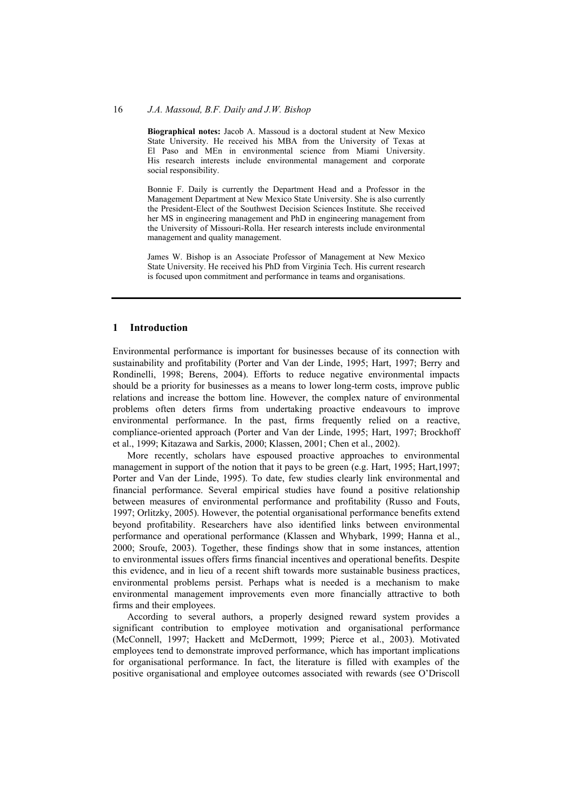**Biographical notes:** Jacob A. Massoud is a doctoral student at New Mexico State University. He received his MBA from the University of Texas at El Paso and MEn in environmental science from Miami University. His research interests include environmental management and corporate social responsibility.

Bonnie F. Daily is currently the Department Head and a Professor in the Management Department at New Mexico State University. She is also currently the President-Elect of the Southwest Decision Sciences Institute. She received her MS in engineering management and PhD in engineering management from the University of Missouri-Rolla. Her research interests include environmental management and quality management.

James W. Bishop is an Associate Professor of Management at New Mexico State University. He received his PhD from Virginia Tech. His current research is focused upon commitment and performance in teams and organisations.

# **1 Introduction**

Environmental performance is important for businesses because of its connection with sustainability and profitability (Porter and Van der Linde, 1995; Hart, 1997; Berry and Rondinelli, 1998; Berens, 2004). Efforts to reduce negative environmental impacts should be a priority for businesses as a means to lower long-term costs, improve public relations and increase the bottom line. However, the complex nature of environmental problems often deters firms from undertaking proactive endeavours to improve environmental performance. In the past, firms frequently relied on a reactive, compliance-oriented approach (Porter and Van der Linde, 1995; Hart, 1997; Brockhoff et al., 1999; Kitazawa and Sarkis, 2000; Klassen, 2001; Chen et al., 2002).

More recently, scholars have espoused proactive approaches to environmental management in support of the notion that it pays to be green (e.g. Hart, 1995; Hart,1997; Porter and Van der Linde, 1995). To date, few studies clearly link environmental and financial performance. Several empirical studies have found a positive relationship between measures of environmental performance and profitability (Russo and Fouts, 1997; Orlitzky, 2005). However, the potential organisational performance benefits extend beyond profitability. Researchers have also identified links between environmental performance and operational performance (Klassen and Whybark, 1999; Hanna et al., 2000; Sroufe, 2003). Together, these findings show that in some instances, attention to environmental issues offers firms financial incentives and operational benefits. Despite this evidence, and in lieu of a recent shift towards more sustainable business practices, environmental problems persist. Perhaps what is needed is a mechanism to make environmental management improvements even more financially attractive to both firms and their employees.

According to several authors, a properly designed reward system provides a significant contribution to employee motivation and organisational performance (McConnell, 1997; Hackett and McDermott, 1999; Pierce et al., 2003). Motivated employees tend to demonstrate improved performance, which has important implications for organisational performance. In fact, the literature is filled with examples of the positive organisational and employee outcomes associated with rewards (see O'Driscoll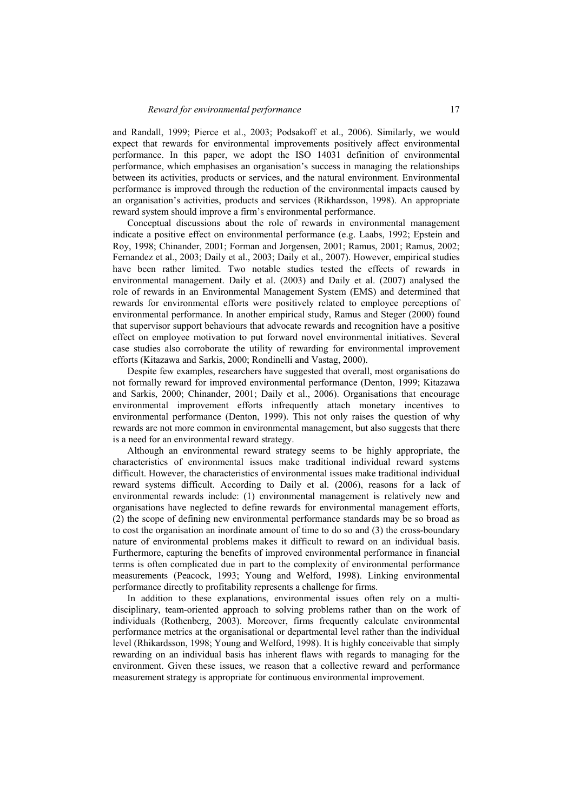and Randall, 1999; Pierce et al., 2003; Podsakoff et al., 2006). Similarly, we would expect that rewards for environmental improvements positively affect environmental performance. In this paper, we adopt the ISO 14031 definition of environmental performance, which emphasises an organisation's success in managing the relationships between its activities, products or services, and the natural environment. Environmental performance is improved through the reduction of the environmental impacts caused by an organisation's activities, products and services (Rikhardsson, 1998). An appropriate reward system should improve a firm's environmental performance.

Conceptual discussions about the role of rewards in environmental management indicate a positive effect on environmental performance (e.g. Laabs, 1992; Epstein and Roy, 1998; Chinander, 2001; Forman and Jorgensen, 2001; Ramus, 2001; Ramus, 2002; Fernandez et al., 2003; Daily et al., 2003; Daily et al., 2007). However, empirical studies have been rather limited. Two notable studies tested the effects of rewards in environmental management. Daily et al. (2003) and Daily et al. (2007) analysed the role of rewards in an Environmental Management System (EMS) and determined that rewards for environmental efforts were positively related to employee perceptions of environmental performance. In another empirical study, Ramus and Steger (2000) found that supervisor support behaviours that advocate rewards and recognition have a positive effect on employee motivation to put forward novel environmental initiatives. Several case studies also corroborate the utility of rewarding for environmental improvement efforts (Kitazawa and Sarkis, 2000; Rondinelli and Vastag, 2000).

Despite few examples, researchers have suggested that overall, most organisations do not formally reward for improved environmental performance (Denton, 1999; Kitazawa and Sarkis, 2000; Chinander, 2001; Daily et al., 2006). Organisations that encourage environmental improvement efforts infrequently attach monetary incentives to environmental performance (Denton, 1999). This not only raises the question of why rewards are not more common in environmental management, but also suggests that there is a need for an environmental reward strategy.

Although an environmental reward strategy seems to be highly appropriate, the characteristics of environmental issues make traditional individual reward systems difficult. However, the characteristics of environmental issues make traditional individual reward systems difficult. According to Daily et al. (2006), reasons for a lack of environmental rewards include: (1) environmental management is relatively new and organisations have neglected to define rewards for environmental management efforts, (2) the scope of defining new environmental performance standards may be so broad as to cost the organisation an inordinate amount of time to do so and (3) the cross-boundary nature of environmental problems makes it difficult to reward on an individual basis. Furthermore, capturing the benefits of improved environmental performance in financial terms is often complicated due in part to the complexity of environmental performance measurements (Peacock, 1993; Young and Welford, 1998). Linking environmental performance directly to profitability represents a challenge for firms.

In addition to these explanations, environmental issues often rely on a multidisciplinary, team-oriented approach to solving problems rather than on the work of individuals (Rothenberg, 2003). Moreover, firms frequently calculate environmental performance metrics at the organisational or departmental level rather than the individual level (Rhikardsson, 1998; Young and Welford, 1998). It is highly conceivable that simply rewarding on an individual basis has inherent flaws with regards to managing for the environment. Given these issues, we reason that a collective reward and performance measurement strategy is appropriate for continuous environmental improvement.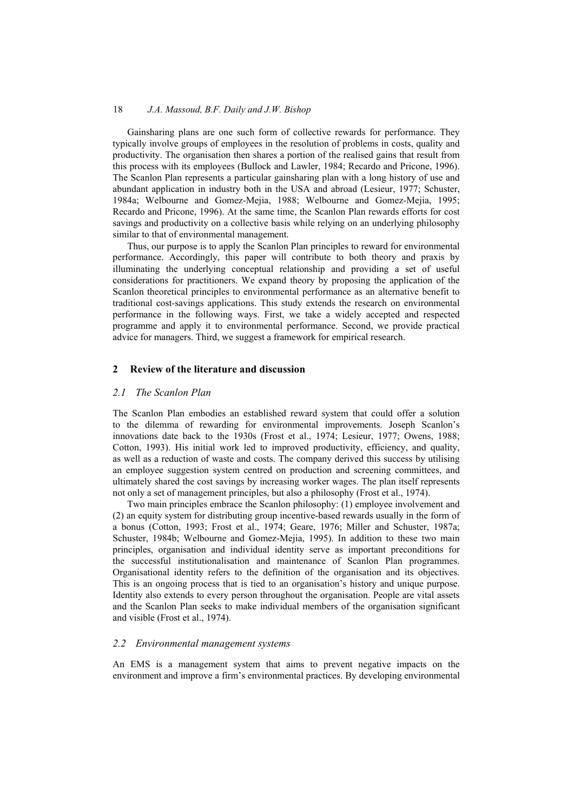Gainsharing plans are one such form of collective rewards for performance. They typically involve groups of employees in the resolution of problems in costs, quality and productivity. The organisation then shares a portion of the realised gains that result from this process with its employees (Bullock and Lawler, 1984; Recardo and Pricone, 1996). The Scanlon Plan represents a particular gainsharing plan with a long history of use and abundant application in industry both in the USA and abroad (Lesieur, 1977; Schuster, 1984a; Welbourne and Gomez-Mejia, 1988; Welbourne and Gomez-Mejia, 1995; Recardo and Pricone, 1996). At the same time, the Scanlon Plan rewards efforts for cost savings and productivity on a collective basis while relying on an underlying philosophy similar to that of environmental management.

Thus, our purpose is to apply the Scanlon Plan principles to reward for environmental performance. Accordingly, this paper will contribute to both theory and praxis by illuminating the underlying conceptual relationship and providing a set of useful considerations for practitioners. We expand theory by proposing the application of the Scanlon theoretical principles to environmental performance as an alternative benefit to traditional cost-savings applications. This study extends the research on environmental performance in the following ways. First, we take a widely accepted and respected programme and apply it to environmental performance. Second, we provide practical advice for managers. Third, we suggest a framework for empirical research.

# **2 Review of the literature and discussion**

#### *2.1 The Scanlon Plan*

The Scanlon Plan embodies an established reward system that could offer a solution to the dilemma of rewarding for environmental improvements. Joseph Scanlon's innovations date back to the 1930s (Frost et al., 1974; Lesieur, 1977; Owens, 1988; Cotton, 1993). His initial work led to improved productivity, efficiency, and quality, as well as a reduction of waste and costs. The company derived this success by utilising an employee suggestion system centred on production and screening committees, and ultimately shared the cost savings by increasing worker wages. The plan itself represents not only a set of management principles, but also a philosophy (Frost et al., 1974).

Two main principles embrace the Scanlon philosophy: (1) employee involvement and (2) an equity system for distributing group incentive-based rewards usually in the form of a bonus (Cotton, 1993; Frost et al., 1974; Geare, 1976; Miller and Schuster, 1987a; Schuster, 1984b; Welbourne and Gomez-Mejia, 1995). In addition to these two main principles, organisation and individual identity serve as important preconditions for the successful institutionalisation and maintenance of Scanlon Plan programmes. Organisational identity refers to the definition of the organisation and its objectives. This is an ongoing process that is tied to an organisation's history and unique purpose. Identity also extends to every person throughout the organisation. People are vital assets and the Scanlon Plan seeks to make individual members of the organisation significant and visible (Frost et al., 1974).

## *2.2 Environmental management systems*

An EMS is a management system that aims to prevent negative impacts on the environment and improve a firm's environmental practices. By developing environmental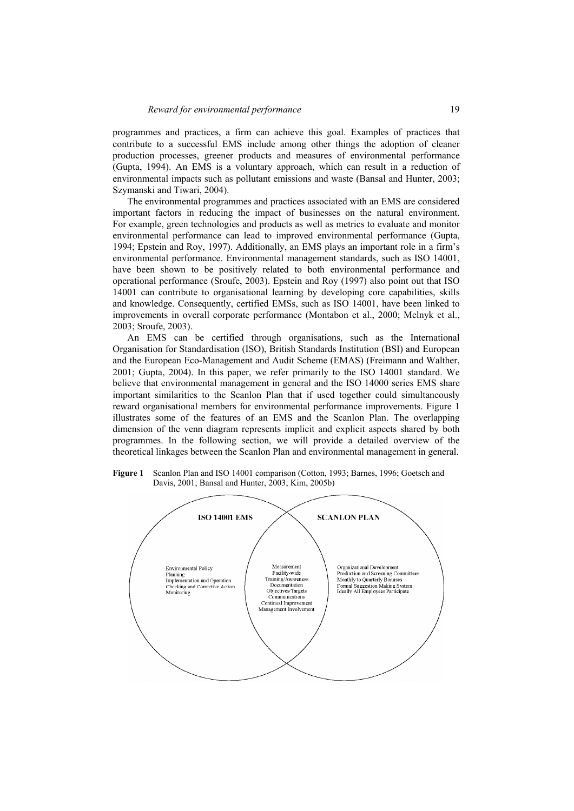programmes and practices, a firm can achieve this goal. Examples of practices that contribute to a successful EMS include among other things the adoption of cleaner production processes, greener products and measures of environmental performance (Gupta, 1994). An EMS is a voluntary approach, which can result in a reduction of environmental impacts such as pollutant emissions and waste (Bansal and Hunter, 2003; Szymanski and Tiwari, 2004).

The environmental programmes and practices associated with an EMS are considered important factors in reducing the impact of businesses on the natural environment. For example, green technologies and products as well as metrics to evaluate and monitor environmental performance can lead to improved environmental performance (Gupta, 1994; Epstein and Roy, 1997). Additionally, an EMS plays an important role in a firm's environmental performance. Environmental management standards, such as ISO 14001, have been shown to be positively related to both environmental performance and operational performance (Sroufe, 2003). Epstein and Roy (1997) also point out that ISO 14001 can contribute to organisational learning by developing core capabilities, skills and knowledge. Consequently, certified EMSs, such as ISO 14001, have been linked to improvements in overall corporate performance (Montabon et al., 2000; Melnyk et al., 2003; Sroufe, 2003).

An EMS can be certified through organisations, such as the International Organisation for Standardisation (ISO), British Standards Institution (BSI) and European and the European Eco-Management and Audit Scheme (EMAS) (Freimann and Walther, 2001; Gupta, 2004). In this paper, we refer primarily to the ISO 14001 standard. We believe that environmental management in general and the ISO 14000 series EMS share important similarities to the Scanlon Plan that if used together could simultaneously reward organisational members for environmental performance improvements. Figure 1 illustrates some of the features of an EMS and the Scanlon Plan. The overlapping dimension of the venn diagram represents implicit and explicit aspects shared by both programmes. In the following section, we will provide a detailed overview of the theoretical linkages between the Scanlon Plan and environmental management in general.



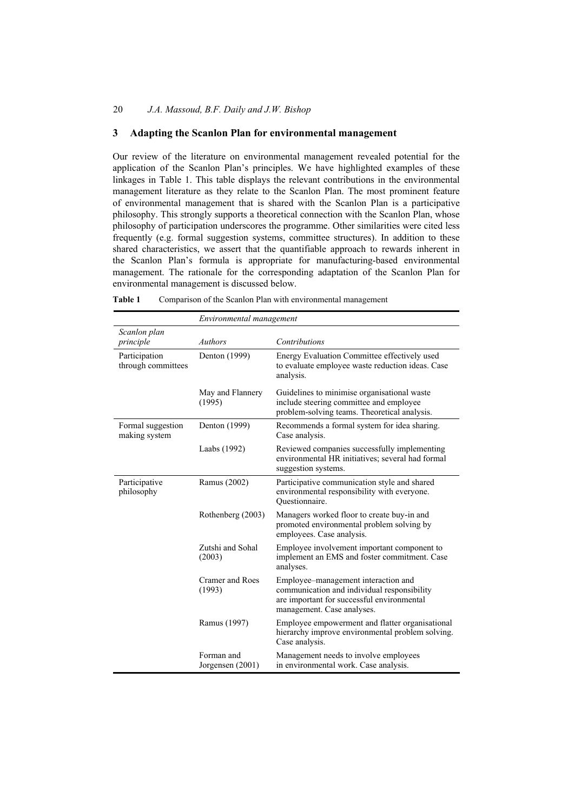# **3 Adapting the Scanlon Plan for environmental management**

Our review of the literature on environmental management revealed potential for the application of the Scanlon Plan's principles. We have highlighted examples of these linkages in Table 1. This table displays the relevant contributions in the environmental management literature as they relate to the Scanlon Plan. The most prominent feature of environmental management that is shared with the Scanlon Plan is a participative philosophy. This strongly supports a theoretical connection with the Scanlon Plan, whose philosophy of participation underscores the programme. Other similarities were cited less frequently (e.g. formal suggestion systems, committee structures). In addition to these shared characteristics, we assert that the quantifiable approach to rewards inherent in the Scanlon Plan's formula is appropriate for manufacturing-based environmental management. The rationale for the corresponding adaptation of the Scanlon Plan for environmental management is discussed below.

|                                     | Environmental management       |                                                                                                                                                                |  |
|-------------------------------------|--------------------------------|----------------------------------------------------------------------------------------------------------------------------------------------------------------|--|
| Scanlon plan<br>principle           | Authors                        | Contributions                                                                                                                                                  |  |
| Participation<br>through committees | Denton (1999)                  | Energy Evaluation Committee effectively used<br>to evaluate employee waste reduction ideas. Case<br>analysis.                                                  |  |
|                                     | May and Flannery<br>(1995)     | Guidelines to minimise organisational waste<br>include steering committee and employee<br>problem-solving teams. Theoretical analysis.                         |  |
| Formal suggestion<br>making system  | Denton (1999)                  | Recommends a formal system for idea sharing.<br>Case analysis.                                                                                                 |  |
|                                     | Laabs (1992)                   | Reviewed companies successfully implementing<br>environmental HR initiatives; several had formal<br>suggestion systems.                                        |  |
| Participative<br>philosophy         | Ramus (2002)                   | Participative communication style and shared<br>environmental responsibility with everyone.<br>Ouestionnaire.                                                  |  |
|                                     | Rothenberg (2003)              | Managers worked floor to create buy-in and<br>promoted environmental problem solving by<br>employees. Case analysis.                                           |  |
|                                     | Zutshi and Sohal<br>(2003)     | Employee involvement important component to<br>implement an EMS and foster commitment. Case<br>analyses.                                                       |  |
|                                     | Cramer and Roes<br>(1993)      | Employee–management interaction and<br>communication and individual responsibility<br>are important for successful environmental<br>management. Case analyses. |  |
|                                     | Ramus (1997)                   | Employee empowerment and flatter organisational<br>hierarchy improve environmental problem solving.<br>Case analysis.                                          |  |
|                                     | Forman and<br>Jorgensen (2001) | Management needs to involve employees<br>in environmental work. Case analysis.                                                                                 |  |

| Table 1 | Comparison of the Scanlon Plan with environmental management |  |  |
|---------|--------------------------------------------------------------|--|--|
|         |                                                              |  |  |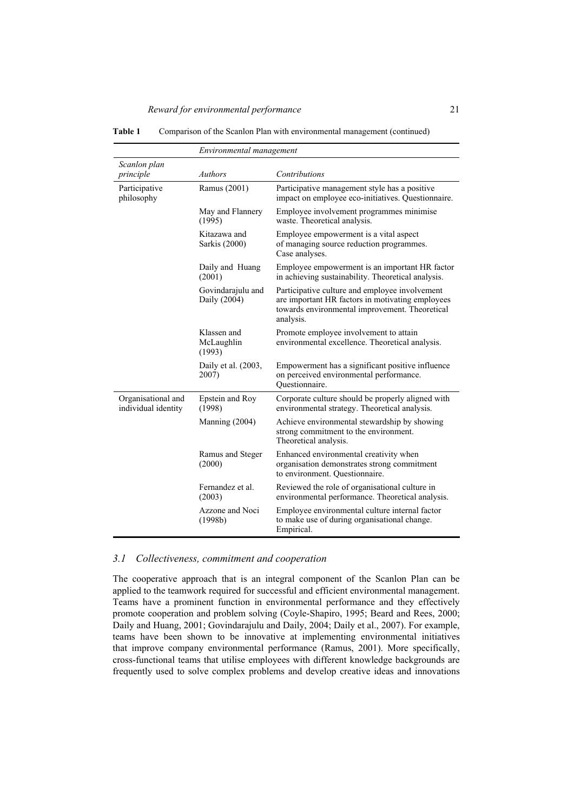| Table 1 |  | Comparison of the Scanlon Plan with environmental management (continued) |  |
|---------|--|--------------------------------------------------------------------------|--|
|         |  |                                                                          |  |

|                                           | Environmental management            |                                                                                                                                                                   |  |  |  |
|-------------------------------------------|-------------------------------------|-------------------------------------------------------------------------------------------------------------------------------------------------------------------|--|--|--|
| Scanlon plan<br>principle                 | <b>Authors</b>                      | Contributions                                                                                                                                                     |  |  |  |
| Participative<br>philosophy               | Ramus (2001)                        | Participative management style has a positive<br>impact on employee eco-initiatives. Questionnaire.                                                               |  |  |  |
|                                           | May and Flannery<br>(1995)          | Employee involvement programmes minimise<br>waste. Theoretical analysis.                                                                                          |  |  |  |
|                                           | Kitazawa and<br>Sarkis (2000)       | Employee empowerment is a vital aspect<br>of managing source reduction programmes.<br>Case analyses.                                                              |  |  |  |
|                                           | Daily and Huang<br>(2001)           | Employee empowerment is an important HR factor<br>in achieving sustainability. Theoretical analysis.                                                              |  |  |  |
|                                           | Govindarajulu and<br>Daily (2004)   | Participative culture and employee involvement<br>are important HR factors in motivating employees<br>towards environmental improvement. Theoretical<br>analysis. |  |  |  |
|                                           | Klassen and<br>McLaughlin<br>(1993) | Promote employee involvement to attain<br>environmental excellence. Theoretical analysis.                                                                         |  |  |  |
|                                           | Daily et al. (2003,<br>2007)        | Empowerment has a significant positive influence<br>on perceived environmental performance.<br>Ouestionnaire.                                                     |  |  |  |
| Organisational and<br>individual identity | Epstein and Roy<br>(1998)           | Corporate culture should be properly aligned with<br>environmental strategy. Theoretical analysis.                                                                |  |  |  |
|                                           | Manning (2004)                      | Achieve environmental stewardship by showing<br>strong commitment to the environment.<br>Theoretical analysis.                                                    |  |  |  |
|                                           | Ramus and Steger<br>(2000)          | Enhanced environmental creativity when<br>organisation demonstrates strong commitment<br>to environment. Questionnaire.                                           |  |  |  |
|                                           | Fernandez et al.<br>(2003)          | Reviewed the role of organisational culture in<br>environmental performance. Theoretical analysis.                                                                |  |  |  |
|                                           | Azzone and Noci<br>(1998b)          | Employee environmental culture internal factor<br>to make use of during organisational change.<br>Empirical.                                                      |  |  |  |

# *3.1 Collectiveness, commitment and cooperation*

The cooperative approach that is an integral component of the Scanlon Plan can be applied to the teamwork required for successful and efficient environmental management. Teams have a prominent function in environmental performance and they effectively promote cooperation and problem solving (Coyle-Shapiro, 1995; Beard and Rees, 2000; Daily and Huang, 2001; Govindarajulu and Daily, 2004; Daily et al., 2007). For example, teams have been shown to be innovative at implementing environmental initiatives that improve company environmental performance (Ramus, 2001). More specifically, cross-functional teams that utilise employees with different knowledge backgrounds are frequently used to solve complex problems and develop creative ideas and innovations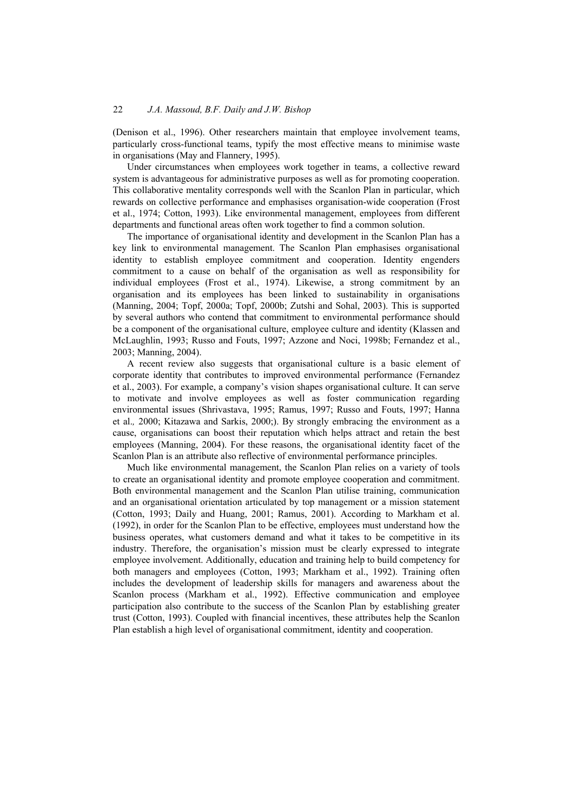(Denison et al., 1996). Other researchers maintain that employee involvement teams, particularly cross-functional teams, typify the most effective means to minimise waste in organisations (May and Flannery, 1995).

Under circumstances when employees work together in teams, a collective reward system is advantageous for administrative purposes as well as for promoting cooperation. This collaborative mentality corresponds well with the Scanlon Plan in particular, which rewards on collective performance and emphasises organisation-wide cooperation (Frost et al., 1974; Cotton, 1993). Like environmental management, employees from different departments and functional areas often work together to find a common solution.

The importance of organisational identity and development in the Scanlon Plan has a key link to environmental management. The Scanlon Plan emphasises organisational identity to establish employee commitment and cooperation. Identity engenders commitment to a cause on behalf of the organisation as well as responsibility for individual employees (Frost et al., 1974). Likewise, a strong commitment by an organisation and its employees has been linked to sustainability in organisations (Manning, 2004; Topf, 2000a; Topf, 2000b; Zutshi and Sohal, 2003). This is supported by several authors who contend that commitment to environmental performance should be a component of the organisational culture, employee culture and identity (Klassen and McLaughlin, 1993; Russo and Fouts, 1997; Azzone and Noci, 1998b; Fernandez et al., 2003; Manning, 2004).

A recent review also suggests that organisational culture is a basic element of corporate identity that contributes to improved environmental performance (Fernandez et al., 2003). For example, a company's vision shapes organisational culture. It can serve to motivate and involve employees as well as foster communication regarding environmental issues (Shrivastava, 1995; Ramus, 1997; Russo and Fouts, 1997; Hanna et al.*,* 2000; Kitazawa and Sarkis, 2000;). By strongly embracing the environment as a cause, organisations can boost their reputation which helps attract and retain the best employees (Manning, 2004). For these reasons, the organisational identity facet of the Scanlon Plan is an attribute also reflective of environmental performance principles.

Much like environmental management, the Scanlon Plan relies on a variety of tools to create an organisational identity and promote employee cooperation and commitment. Both environmental management and the Scanlon Plan utilise training, communication and an organisational orientation articulated by top management or a mission statement (Cotton, 1993; Daily and Huang, 2001; Ramus, 2001). According to Markham et al. (1992), in order for the Scanlon Plan to be effective, employees must understand how the business operates, what customers demand and what it takes to be competitive in its industry. Therefore, the organisation's mission must be clearly expressed to integrate employee involvement. Additionally, education and training help to build competency for both managers and employees (Cotton, 1993; Markham et al., 1992). Training often includes the development of leadership skills for managers and awareness about the Scanlon process (Markham et al., 1992). Effective communication and employee participation also contribute to the success of the Scanlon Plan by establishing greater trust (Cotton, 1993). Coupled with financial incentives, these attributes help the Scanlon Plan establish a high level of organisational commitment, identity and cooperation.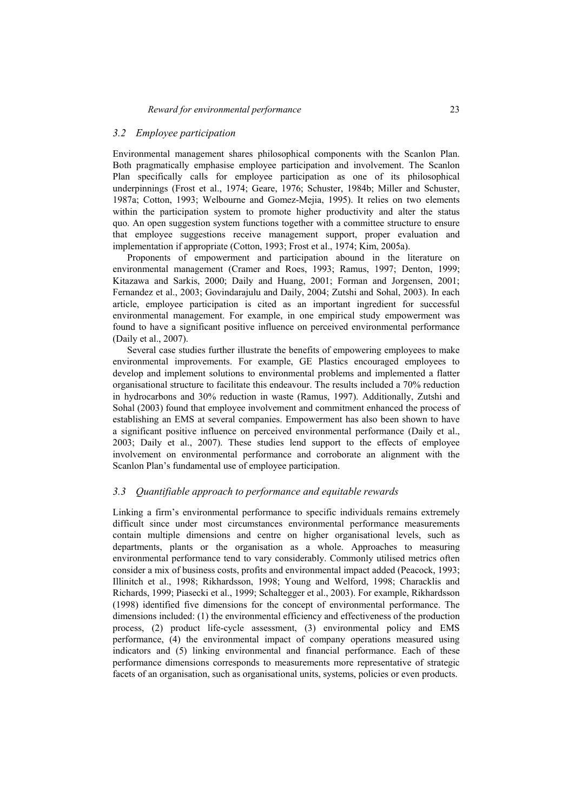## *3.2 Employee participation*

Environmental management shares philosophical components with the Scanlon Plan. Both pragmatically emphasise employee participation and involvement. The Scanlon Plan specifically calls for employee participation as one of its philosophical underpinnings (Frost et al., 1974; Geare, 1976; Schuster, 1984b; Miller and Schuster, 1987a; Cotton, 1993; Welbourne and Gomez-Mejia, 1995). It relies on two elements within the participation system to promote higher productivity and alter the status quo. An open suggestion system functions together with a committee structure to ensure that employee suggestions receive management support, proper evaluation and implementation if appropriate (Cotton, 1993; Frost et al., 1974; Kim, 2005a).

Proponents of empowerment and participation abound in the literature on environmental management (Cramer and Roes, 1993; Ramus, 1997; Denton, 1999; Kitazawa and Sarkis, 2000; Daily and Huang, 2001; Forman and Jorgensen, 2001; Fernandez et al., 2003; Govindarajulu and Daily, 2004; Zutshi and Sohal, 2003). In each article, employee participation is cited as an important ingredient for successful environmental management. For example, in one empirical study empowerment was found to have a significant positive influence on perceived environmental performance (Daily et al., 2007).

Several case studies further illustrate the benefits of empowering employees to make environmental improvements. For example, GE Plastics encouraged employees to develop and implement solutions to environmental problems and implemented a flatter organisational structure to facilitate this endeavour. The results included a 70% reduction in hydrocarbons and 30% reduction in waste (Ramus, 1997). Additionally, Zutshi and Sohal (2003) found that employee involvement and commitment enhanced the process of establishing an EMS at several companies. Empowerment has also been shown to have a significant positive influence on perceived environmental performance (Daily et al., 2003; Daily et al., 2007). These studies lend support to the effects of employee involvement on environmental performance and corroborate an alignment with the Scanlon Plan's fundamental use of employee participation.

# *3.3 Quantifiable approach to performance and equitable rewards*

Linking a firm's environmental performance to specific individuals remains extremely difficult since under most circumstances environmental performance measurements contain multiple dimensions and centre on higher organisational levels, such as departments, plants or the organisation as a whole. Approaches to measuring environmental performance tend to vary considerably. Commonly utilised metrics often consider a mix of business costs, profits and environmental impact added (Peacock, 1993; Illinitch et al., 1998; Rikhardsson, 1998; Young and Welford, 1998; Characklis and Richards, 1999; Piasecki et al., 1999; Schaltegger et al., 2003). For example, Rikhardsson (1998) identified five dimensions for the concept of environmental performance. The dimensions included: (1) the environmental efficiency and effectiveness of the production process, (2) product life-cycle assessment, (3) environmental policy and EMS performance, (4) the environmental impact of company operations measured using indicators and (5) linking environmental and financial performance. Each of these performance dimensions corresponds to measurements more representative of strategic facets of an organisation, such as organisational units, systems, policies or even products.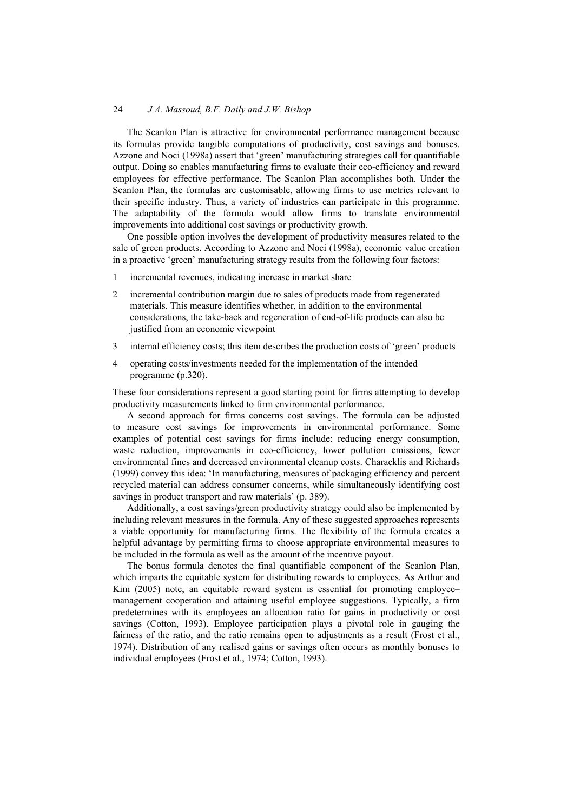The Scanlon Plan is attractive for environmental performance management because its formulas provide tangible computations of productivity, cost savings and bonuses. Azzone and Noci (1998a) assert that 'green' manufacturing strategies call for quantifiable output. Doing so enables manufacturing firms to evaluate their eco-efficiency and reward employees for effective performance. The Scanlon Plan accomplishes both. Under the Scanlon Plan, the formulas are customisable, allowing firms to use metrics relevant to their specific industry. Thus, a variety of industries can participate in this programme. The adaptability of the formula would allow firms to translate environmental improvements into additional cost savings or productivity growth.

One possible option involves the development of productivity measures related to the sale of green products. According to Azzone and Noci (1998a), economic value creation in a proactive 'green' manufacturing strategy results from the following four factors:

- 1 incremental revenues, indicating increase in market share
- 2 incremental contribution margin due to sales of products made from regenerated materials. This measure identifies whether, in addition to the environmental considerations, the take-back and regeneration of end-of-life products can also be justified from an economic viewpoint
- 3 internal efficiency costs; this item describes the production costs of 'green' products
- 4 operating costs/investments needed for the implementation of the intended programme (p.320).

These four considerations represent a good starting point for firms attempting to develop productivity measurements linked to firm environmental performance.

A second approach for firms concerns cost savings. The formula can be adjusted to measure cost savings for improvements in environmental performance. Some examples of potential cost savings for firms include: reducing energy consumption, waste reduction, improvements in eco-efficiency, lower pollution emissions, fewer environmental fines and decreased environmental cleanup costs. Characklis and Richards (1999) convey this idea: 'In manufacturing, measures of packaging efficiency and percent recycled material can address consumer concerns, while simultaneously identifying cost savings in product transport and raw materials' (p. 389).

Additionally, a cost savings/green productivity strategy could also be implemented by including relevant measures in the formula. Any of these suggested approaches represents a viable opportunity for manufacturing firms. The flexibility of the formula creates a helpful advantage by permitting firms to choose appropriate environmental measures to be included in the formula as well as the amount of the incentive payout.

The bonus formula denotes the final quantifiable component of the Scanlon Plan, which imparts the equitable system for distributing rewards to employees. As Arthur and Kim (2005) note, an equitable reward system is essential for promoting employee– management cooperation and attaining useful employee suggestions. Typically, a firm predetermines with its employees an allocation ratio for gains in productivity or cost savings (Cotton, 1993). Employee participation plays a pivotal role in gauging the fairness of the ratio, and the ratio remains open to adjustments as a result (Frost et al., 1974). Distribution of any realised gains or savings often occurs as monthly bonuses to individual employees (Frost et al., 1974; Cotton, 1993).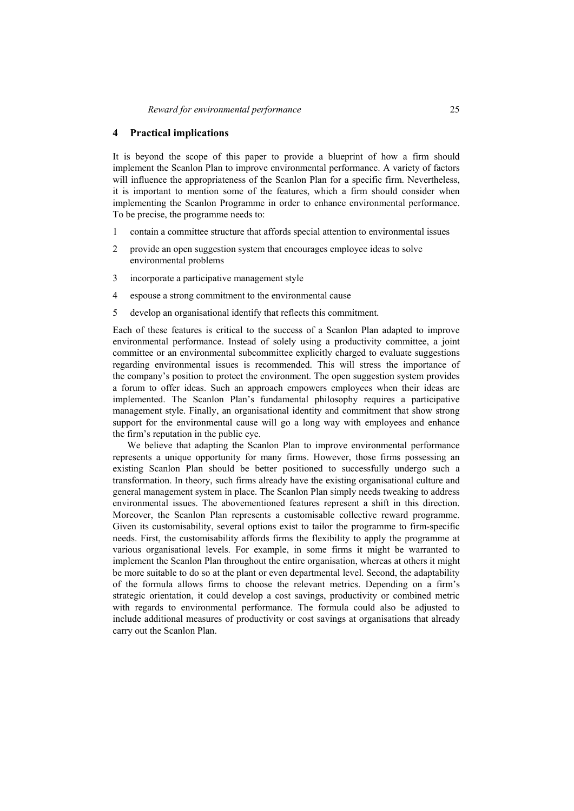### **4 Practical implications**

It is beyond the scope of this paper to provide a blueprint of how a firm should implement the Scanlon Plan to improve environmental performance. A variety of factors will influence the appropriateness of the Scanlon Plan for a specific firm. Nevertheless, it is important to mention some of the features, which a firm should consider when implementing the Scanlon Programme in order to enhance environmental performance. To be precise, the programme needs to:

- 1 contain a committee structure that affords special attention to environmental issues
- 2 provide an open suggestion system that encourages employee ideas to solve environmental problems
- 3 incorporate a participative management style
- 4 espouse a strong commitment to the environmental cause
- 5 develop an organisational identify that reflects this commitment.

Each of these features is critical to the success of a Scanlon Plan adapted to improve environmental performance. Instead of solely using a productivity committee, a joint committee or an environmental subcommittee explicitly charged to evaluate suggestions regarding environmental issues is recommended. This will stress the importance of the company's position to protect the environment. The open suggestion system provides a forum to offer ideas. Such an approach empowers employees when their ideas are implemented. The Scanlon Plan's fundamental philosophy requires a participative management style. Finally, an organisational identity and commitment that show strong support for the environmental cause will go a long way with employees and enhance the firm's reputation in the public eye.

We believe that adapting the Scanlon Plan to improve environmental performance represents a unique opportunity for many firms. However, those firms possessing an existing Scanlon Plan should be better positioned to successfully undergo such a transformation. In theory, such firms already have the existing organisational culture and general management system in place. The Scanlon Plan simply needs tweaking to address environmental issues. The abovementioned features represent a shift in this direction. Moreover, the Scanlon Plan represents a customisable collective reward programme. Given its customisability, several options exist to tailor the programme to firm-specific needs. First, the customisability affords firms the flexibility to apply the programme at various organisational levels. For example, in some firms it might be warranted to implement the Scanlon Plan throughout the entire organisation, whereas at others it might be more suitable to do so at the plant or even departmental level. Second, the adaptability of the formula allows firms to choose the relevant metrics. Depending on a firm's strategic orientation, it could develop a cost savings, productivity or combined metric with regards to environmental performance. The formula could also be adjusted to include additional measures of productivity or cost savings at organisations that already carry out the Scanlon Plan.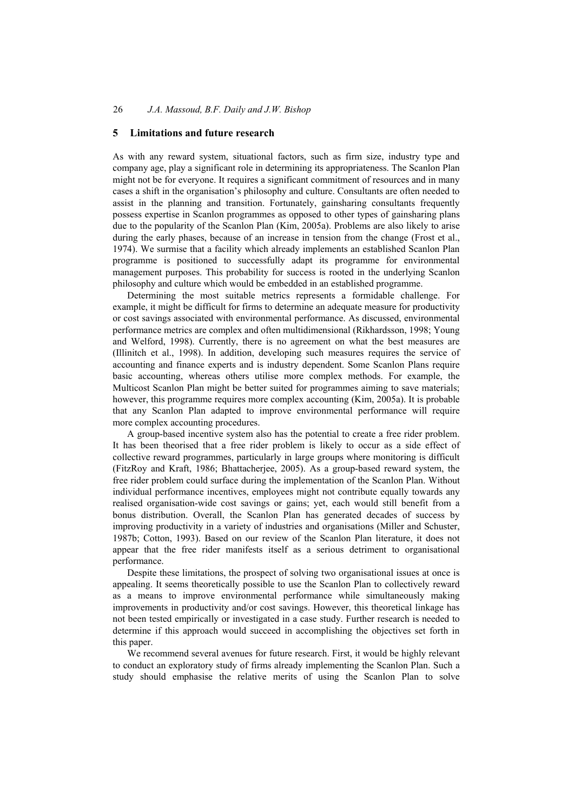### **5 Limitations and future research**

As with any reward system, situational factors, such as firm size, industry type and company age, play a significant role in determining its appropriateness. The Scanlon Plan might not be for everyone. It requires a significant commitment of resources and in many cases a shift in the organisation's philosophy and culture. Consultants are often needed to assist in the planning and transition. Fortunately, gainsharing consultants frequently possess expertise in Scanlon programmes as opposed to other types of gainsharing plans due to the popularity of the Scanlon Plan (Kim, 2005a). Problems are also likely to arise during the early phases, because of an increase in tension from the change (Frost et al., 1974). We surmise that a facility which already implements an established Scanlon Plan programme is positioned to successfully adapt its programme for environmental management purposes. This probability for success is rooted in the underlying Scanlon philosophy and culture which would be embedded in an established programme.

Determining the most suitable metrics represents a formidable challenge. For example, it might be difficult for firms to determine an adequate measure for productivity or cost savings associated with environmental performance. As discussed, environmental performance metrics are complex and often multidimensional (Rikhardsson, 1998; Young and Welford, 1998). Currently, there is no agreement on what the best measures are (Illinitch et al., 1998). In addition, developing such measures requires the service of accounting and finance experts and is industry dependent. Some Scanlon Plans require basic accounting, whereas others utilise more complex methods. For example, the Multicost Scanlon Plan might be better suited for programmes aiming to save materials; however, this programme requires more complex accounting (Kim, 2005a). It is probable that any Scanlon Plan adapted to improve environmental performance will require more complex accounting procedures.

A group-based incentive system also has the potential to create a free rider problem. It has been theorised that a free rider problem is likely to occur as a side effect of collective reward programmes, particularly in large groups where monitoring is difficult (FitzRoy and Kraft, 1986; Bhattacherjee, 2005). As a group-based reward system, the free rider problem could surface during the implementation of the Scanlon Plan. Without individual performance incentives, employees might not contribute equally towards any realised organisation-wide cost savings or gains; yet, each would still benefit from a bonus distribution. Overall, the Scanlon Plan has generated decades of success by improving productivity in a variety of industries and organisations (Miller and Schuster, 1987b; Cotton, 1993). Based on our review of the Scanlon Plan literature, it does not appear that the free rider manifests itself as a serious detriment to organisational performance.

Despite these limitations, the prospect of solving two organisational issues at once is appealing. It seems theoretically possible to use the Scanlon Plan to collectively reward as a means to improve environmental performance while simultaneously making improvements in productivity and/or cost savings. However, this theoretical linkage has not been tested empirically or investigated in a case study. Further research is needed to determine if this approach would succeed in accomplishing the objectives set forth in this paper.

We recommend several avenues for future research. First, it would be highly relevant to conduct an exploratory study of firms already implementing the Scanlon Plan. Such a study should emphasise the relative merits of using the Scanlon Plan to solve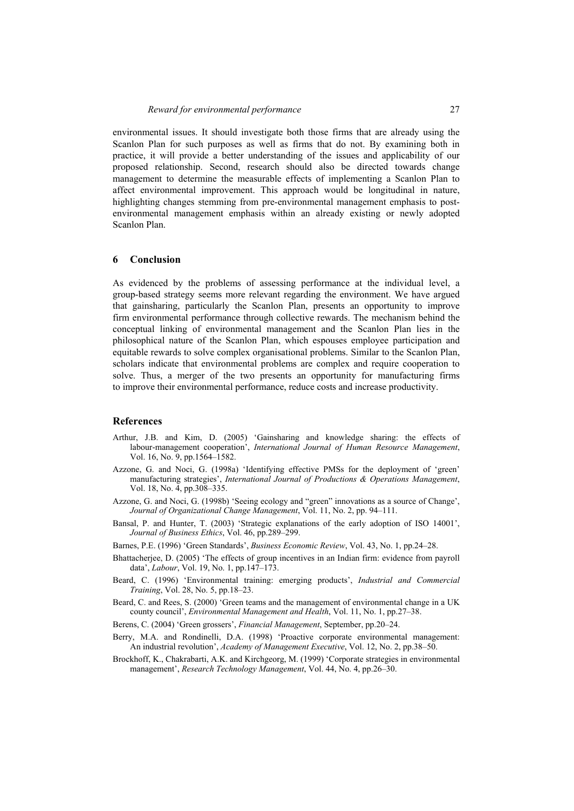environmental issues. It should investigate both those firms that are already using the Scanlon Plan for such purposes as well as firms that do not. By examining both in practice, it will provide a better understanding of the issues and applicability of our proposed relationship. Second, research should also be directed towards change management to determine the measurable effects of implementing a Scanlon Plan to affect environmental improvement. This approach would be longitudinal in nature, highlighting changes stemming from pre-environmental management emphasis to postenvironmental management emphasis within an already existing or newly adopted Scanlon Plan.

### **6 Conclusion**

As evidenced by the problems of assessing performance at the individual level, a group-based strategy seems more relevant regarding the environment. We have argued that gainsharing, particularly the Scanlon Plan, presents an opportunity to improve firm environmental performance through collective rewards. The mechanism behind the conceptual linking of environmental management and the Scanlon Plan lies in the philosophical nature of the Scanlon Plan, which espouses employee participation and equitable rewards to solve complex organisational problems. Similar to the Scanlon Plan, scholars indicate that environmental problems are complex and require cooperation to solve. Thus, a merger of the two presents an opportunity for manufacturing firms to improve their environmental performance, reduce costs and increase productivity.

#### **References**

- Arthur, J.B. and Kim, D. (2005) 'Gainsharing and knowledge sharing: the effects of labour-management cooperation', *International Journal of Human Resource Management*, Vol. 16, No. 9, pp.1564–1582.
- Azzone, G. and Noci, G. (1998a) 'Identifying effective PMSs for the deployment of 'green' manufacturing strategies', *International Journal of Productions & Operations Management*, Vol. 18, No. 4, pp.308–335.
- Azzone, G. and Noci, G. (1998b) 'Seeing ecology and "green" innovations as a source of Change', *Journal of Organizational Change Management*, Vol. 11, No. 2, pp. 94–111.
- Bansal, P. and Hunter, T. (2003) 'Strategic explanations of the early adoption of ISO 14001', *Journal of Business Ethics*, Vol. 46, pp.289–299.
- Barnes, P.E. (1996) 'Green Standards', *Business Economic Review*, Vol. 43, No. 1, pp.24–28.
- Bhattacherjee, D. (2005) 'The effects of group incentives in an Indian firm: evidence from payroll data', *Labour*, Vol. 19, No. 1, pp.147–173.
- Beard, C. (1996) 'Environmental training: emerging products', *Industrial and Commercial Training*, Vol. 28, No. 5, pp.18–23.
- Beard, C. and Rees, S. (2000) 'Green teams and the management of environmental change in a UK county council', *Environmental Management and Health*, Vol. 11, No. 1, pp.27–38.
- Berens, C. (2004) 'Green grossers', *Financial Management*, September, pp.20–24.
- Berry, M.A. and Rondinelli, D.A. (1998) 'Proactive corporate environmental management: An industrial revolution', *Academy of Management Executive*, Vol. 12, No. 2, pp.38–50.
- Brockhoff, K., Chakrabarti, A.K. and Kirchgeorg, M. (1999) 'Corporate strategies in environmental management', *Research Technology Management*, Vol. 44, No. 4, pp.26–30.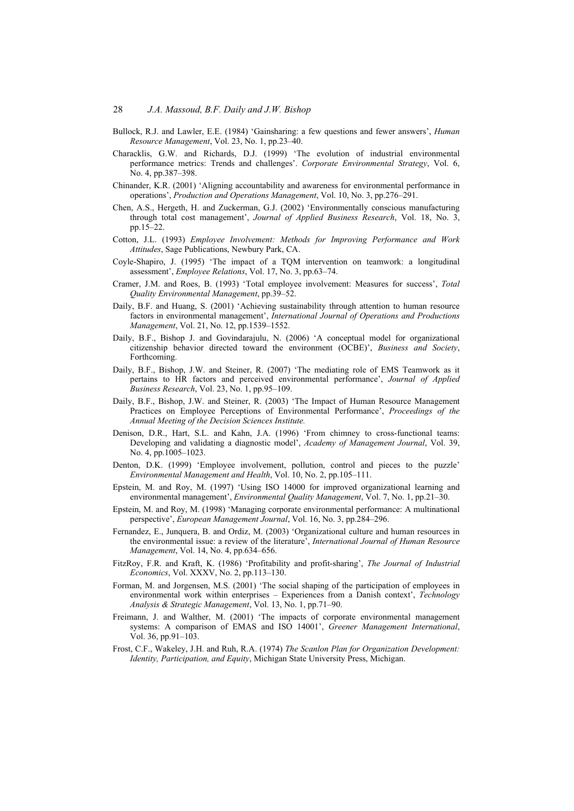- Bullock, R.J. and Lawler, E.E. (1984) 'Gainsharing: a few questions and fewer answers', *Human Resource Management*, Vol. 23, No. 1, pp.23–40.
- Characklis, G.W. and Richards, D.J. (1999) 'The evolution of industrial environmental performance metrics: Trends and challenges'. *Corporate Environmental Strategy*, Vol. 6, No. 4, pp.387–398.
- Chinander, K.R. (2001) 'Aligning accountability and awareness for environmental performance in operations', *Production and Operations Management*, Vol. 10, No. 3, pp.276–291.
- Chen, A.S., Hergeth, H. and Zuckerman, G.J. (2002) 'Environmentally conscious manufacturing through total cost management', *Journal of Applied Business Research*, Vol. 18, No. 3, pp.15–22.
- Cotton, J.L. (1993) *Employee Involvement: Methods for Improving Performance and Work Attitudes*, Sage Publications, Newbury Park, CA.
- Coyle-Shapiro, J. (1995) 'The impact of a TQM intervention on teamwork: a longitudinal assessment', *Employee Relations*, Vol. 17, No. 3, pp.63–74.
- Cramer, J.M. and Roes, B. (1993) 'Total employee involvement: Measures for success', *Total Quality Environmental Management*, pp.39–52.
- Daily, B.F. and Huang, S. (2001) 'Achieving sustainability through attention to human resource factors in environmental management', *International Journal of Operations and Productions Management*, Vol. 21, No. 12, pp.1539–1552.
- Daily, B.F., Bishop J. and Govindarajulu, N. (2006) 'A conceptual model for organizational citizenship behavior directed toward the environment (OCBE)', *Business and Society*, Forthcoming.
- Daily, B.F., Bishop, J.W. and Steiner, R. (2007) 'The mediating role of EMS Teamwork as it pertains to HR factors and perceived environmental performance', *Journal of Applied Business Research*, Vol. 23, No. 1, pp.95–109.
- Daily, B.F., Bishop, J.W. and Steiner, R. (2003) 'The Impact of Human Resource Management Practices on Employee Perceptions of Environmental Performance', *Proceedings of the Annual Meeting of the Decision Sciences Institute.*
- Denison, D.R., Hart, S.L. and Kahn, J.A. (1996) 'From chimney to cross-functional teams: Developing and validating a diagnostic model', *Academy of Management Journal*, Vol. 39, No. 4, pp.1005–1023.
- Denton, D.K. (1999) 'Employee involvement, pollution, control and pieces to the puzzle' *Environmental Management and Health*, Vol. 10, No. 2, pp.105–111.
- Epstein, M. and Roy, M. (1997) 'Using ISO 14000 for improved organizational learning and environmental management', *Environmental Quality Management*, Vol. 7, No. 1, pp.21–30.
- Epstein, M. and Roy, M. (1998) 'Managing corporate environmental performance: A multinational perspective', *European Management Journal*, Vol. 16, No. 3, pp.284–296.
- Fernandez, E., Junquera, B. and Ordiz, M. (2003) 'Organizational culture and human resources in the environmental issue: a review of the literature', *International Journal of Human Resource Management*, Vol. 14, No. 4, pp.634–656.
- FitzRoy, F.R. and Kraft, K. (1986) 'Profitability and profit-sharing', *The Journal of Industrial Economics*, Vol. XXXV, No. 2, pp.113–130.
- Forman, M. and Jorgensen, M.S. (2001) 'The social shaping of the participation of employees in environmental work within enterprises – Experiences from a Danish context', *Technology Analysis & Strategic Management*, Vol. 13, No. 1, pp.71–90.
- Freimann, J. and Walther, M. (2001) 'The impacts of corporate environmental management systems: A comparison of EMAS and ISO 14001', *Greener Management International*, Vol. 36, pp.91–103.
- Frost, C.F., Wakeley, J.H. and Ruh, R.A. (1974) *The Scanlon Plan for Organization Development: Identity, Participation, and Equity*, Michigan State University Press, Michigan.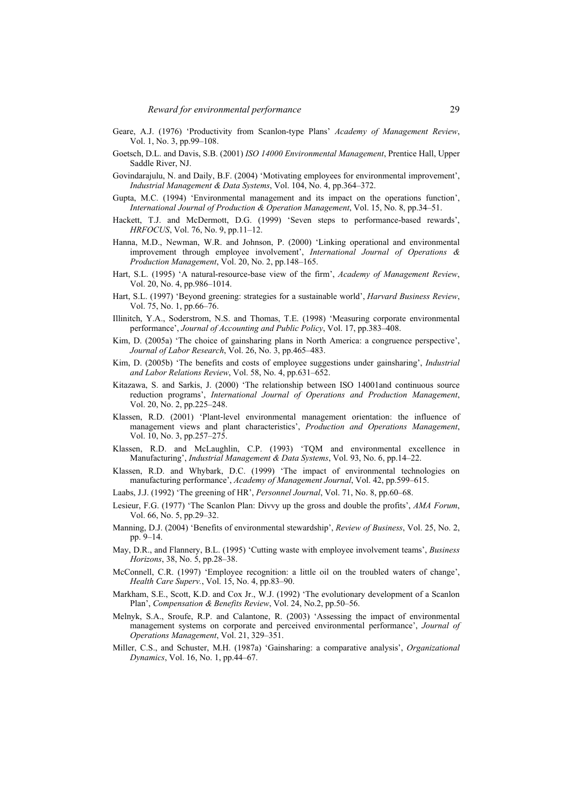- Geare, A.J. (1976) 'Productivity from Scanlon-type Plans' *Academy of Management Review*, Vol. 1, No. 3, pp.99–108.
- Goetsch, D.L. and Davis, S.B. (2001) *ISO 14000 Environmental Management*, Prentice Hall, Upper Saddle River, NJ.
- Govindarajulu, N. and Daily, B.F. (2004) 'Motivating employees for environmental improvement', *Industrial Management & Data Systems*, Vol. 104, No. 4, pp.364–372.
- Gupta, M.C. (1994) 'Environmental management and its impact on the operations function', *International Journal of Production & Operation Management*, Vol. 15, No. 8, pp.34–51.
- Hackett, T.J. and McDermott, D.G. (1999) 'Seven steps to performance-based rewards', *HRFOCUS*, Vol. 76, No. 9, pp.11–12.
- Hanna, M.D., Newman, W.R. and Johnson, P. (2000) 'Linking operational and environmental improvement through employee involvement', *International Journal of Operations & Production Management*, Vol. 20, No. 2, pp.148–165.
- Hart, S.L. (1995) 'A natural-resource-base view of the firm', *Academy of Management Review*, Vol. 20, No. 4, pp.986–1014.
- Hart, S.L. (1997) 'Beyond greening: strategies for a sustainable world', *Harvard Business Review*, Vol. 75, No. 1, pp.66–76.
- Illinitch, Y.A., Soderstrom, N.S. and Thomas, T.E. (1998) 'Measuring corporate environmental performance', *Journal of Accounting and Public Policy*, Vol. 17, pp.383–408.
- Kim, D. (2005a) 'The choice of gainsharing plans in North America: a congruence perspective', *Journal of Labor Research*, Vol. 26, No. 3, pp.465–483.
- Kim, D. (2005b) 'The benefits and costs of employee suggestions under gainsharing', *Industrial and Labor Relations Review*, Vol. 58, No. 4, pp.631–652.
- Kitazawa, S. and Sarkis, J. (2000) 'The relationship between ISO 14001and continuous source reduction programs', *International Journal of Operations and Production Management*, Vol. 20, No. 2, pp.225–248.
- Klassen, R.D. (2001) 'Plant-level environmental management orientation: the influence of management views and plant characteristics', *Production and Operations Management*, Vol. 10, No. 3, pp.257–275.
- Klassen, R.D. and McLaughlin, C.P. (1993) 'TQM and environmental excellence in Manufacturing', *Industrial Management & Data Systems*, Vol. 93, No. 6, pp.14–22.
- Klassen, R.D. and Whybark, D.C. (1999) 'The impact of environmental technologies on manufacturing performance', *Academy of Management Journal*, Vol. 42, pp.599–615.
- Laabs, J.J. (1992) 'The greening of HR', *Personnel Journal*, Vol. 71, No. 8, pp.60–68.
- Lesieur, F.G. (1977) 'The Scanlon Plan: Divvy up the gross and double the profits', *AMA Forum*, Vol. 66, No. 5, pp.29–32.
- Manning, D.J. (2004) 'Benefits of environmental stewardship', *Review of Business*, Vol. 25, No. 2, pp. 9–14.
- May, D.R., and Flannery, B.L. (1995) 'Cutting waste with employee involvement teams', *Business Horizons*, 38, No. 5, pp.28–38.
- McConnell, C.R. (1997) 'Employee recognition: a little oil on the troubled waters of change', *Health Care Superv.*, Vol. 15, No. 4, pp.83–90.
- Markham, S.E., Scott, K.D. and Cox Jr., W.J. (1992) 'The evolutionary development of a Scanlon Plan', *Compensation & Benefits Review*, Vol. 24, No.2, pp.50–56.
- Melnyk, S.A., Sroufe, R.P. and Calantone, R. (2003) 'Assessing the impact of environmental management systems on corporate and perceived environmental performance', *Journal of Operations Management*, Vol. 21, 329–351.
- Miller, C.S., and Schuster, M.H. (1987a) 'Gainsharing: a comparative analysis', *Organizational Dynamics*, Vol. 16, No. 1, pp.44–67.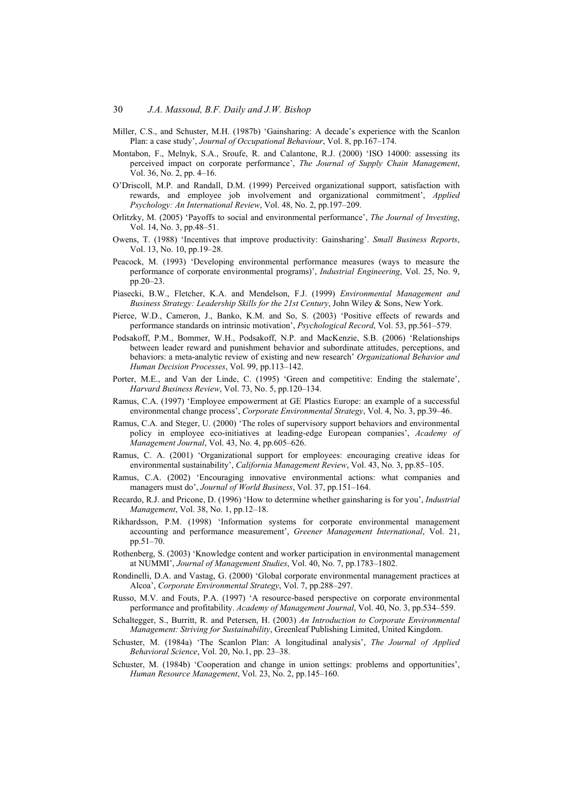- Miller, C.S., and Schuster, M.H. (1987b) 'Gainsharing: A decade's experience with the Scanlon Plan: a case study', *Journal of Occupational Behaviour*, Vol. 8, pp.167–174.
- Montabon, F., Melnyk, S.A., Sroufe, R. and Calantone, R.J. (2000) 'ISO 14000: assessing its perceived impact on corporate performance', *The Journal of Supply Chain Management*, Vol. 36, No. 2, pp. 4–16.
- O'Driscoll, M.P. and Randall, D.M. (1999) Perceived organizational support, satisfaction with rewards, and employee job involvement and organizational commitment', *Applied Psychology: An International Review*, Vol. 48, No. 2, pp.197–209.
- Orlitzky, M. (2005) 'Payoffs to social and environmental performance', *The Journal of Investing*, Vol. 14, No. 3, pp.48–51.
- Owens, T. (1988) 'Incentives that improve productivity: Gainsharing'. *Small Business Reports*, Vol. 13, No. 10, pp.19–28.
- Peacock, M. (1993) 'Developing environmental performance measures (ways to measure the performance of corporate environmental programs)', *Industrial Engineering*, Vol. 25, No. 9, pp.20–23.
- Piasecki, B.W., Fletcher, K.A. and Mendelson, F.J. (1999) *Environmental Management and Business Strategy: Leadership Skills for the 21st Century*, John Wiley & Sons, New York.
- Pierce, W.D., Cameron, J., Banko, K.M. and So, S. (2003) 'Positive effects of rewards and performance standards on intrinsic motivation', *Psychological Record*, Vol. 53, pp.561–579.
- Podsakoff, P.M., Bommer, W.H., Podsakoff, N.P. and MacKenzie, S.B. (2006) 'Relationships between leader reward and punishment behavior and subordinate attitudes, perceptions, and behaviors: a meta-analytic review of existing and new research' *Organizational Behavior and Human Decision Processes*, Vol. 99, pp.113–142.
- Porter, M.E., and Van der Linde, C. (1995) 'Green and competitive: Ending the stalemate', *Harvard Business Review*, Vol. 73, No. 5, pp.120–134.
- Ramus, C.A. (1997) 'Employee empowerment at GE Plastics Europe: an example of a successful environmental change process', *Corporate Environmental Strategy*, Vol. 4, No. 3, pp.39–46.
- Ramus, C.A. and Steger, U. (2000) 'The roles of supervisory support behaviors and environmental policy in employee eco-initiatives at leading-edge European companies', *Academy of Management Journal*, Vol. 43, No. 4, pp.605–626.
- Ramus, C. A. (2001) 'Organizational support for employees: encouraging creative ideas for environmental sustainability', *California Management Review*, Vol. 43, No. 3, pp.85–105.
- Ramus, C.A. (2002) 'Encouraging innovative environmental actions: what companies and managers must do', *Journal of World Business*, Vol. 37, pp.151–164.
- Recardo, R.J. and Pricone, D. (1996) 'How to determine whether gainsharing is for you', *Industrial Management*, Vol. 38, No. 1, pp.12–18.
- Rikhardsson, P.M. (1998) 'Information systems for corporate environmental management accounting and performance measurement', *Greener Management International*, Vol. 21, pp.51–70.
- Rothenberg, S. (2003) 'Knowledge content and worker participation in environmental management at NUMMI', *Journal of Management Studies*, Vol. 40, No. 7, pp.1783–1802.
- Rondinelli, D.A. and Vastag, G. (2000) 'Global corporate environmental management practices at Alcoa', *Corporate Environmental Strategy*, Vol. 7, pp.288–297.
- Russo, M.V. and Fouts, P.A. (1997) 'A resource-based perspective on corporate environmental performance and profitability. *Academy of Management Journal*, Vol. 40, No. 3, pp.534–559.
- Schaltegger, S., Burritt, R. and Petersen, H. (2003) *An Introduction to Corporate Environmental Management: Striving for Sustainability*, Greenleaf Publishing Limited, United Kingdom.
- Schuster, M. (1984a) 'The Scanlon Plan: A longitudinal analysis', *The Journal of Applied Behavioral Science*, Vol. 20, No.1, pp. 23–38.
- Schuster, M. (1984b) 'Cooperation and change in union settings: problems and opportunities', *Human Resource Management*, Vol. 23, No. 2, pp.145–160.